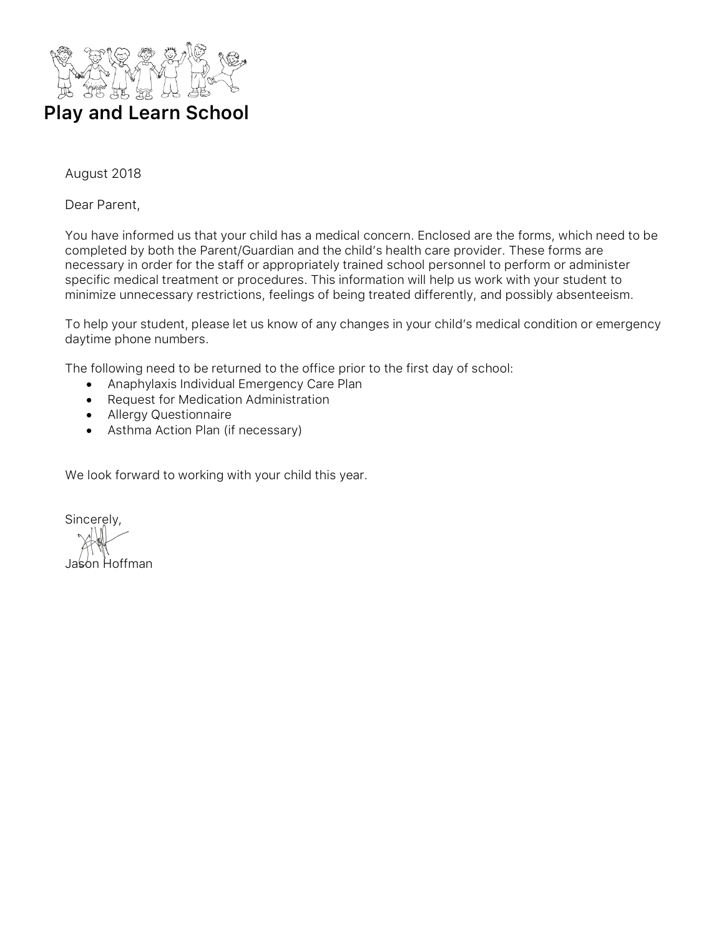

### August 2018

Dear Parent,

You have informed us that your child has a medical concern. Enclosed are the forms, which need to be completed by both the Parent/Guardian and the child's health care provider. These forms are necessary in order for the staff or appropriately trained school personnel to perform or administer specific medical treatment or procedures. This information will help us work with your student to minimize unnecessary restrictions, feelings of being treated differently, and possibly absenteeism.

To help your student, please let us know of any changes in your child's medical condition or emergency daytime phone numbers.

The following need to be returned to the office prior to the first day of school:

- Anaphylaxis Individual Emergency Care Plan
- Request for Medication Administration
- Allergy Questionnaire
- Asthma Action Plan (if necessary)

We look forward to working with your child this year.

Sincerely, Jason Hoffman.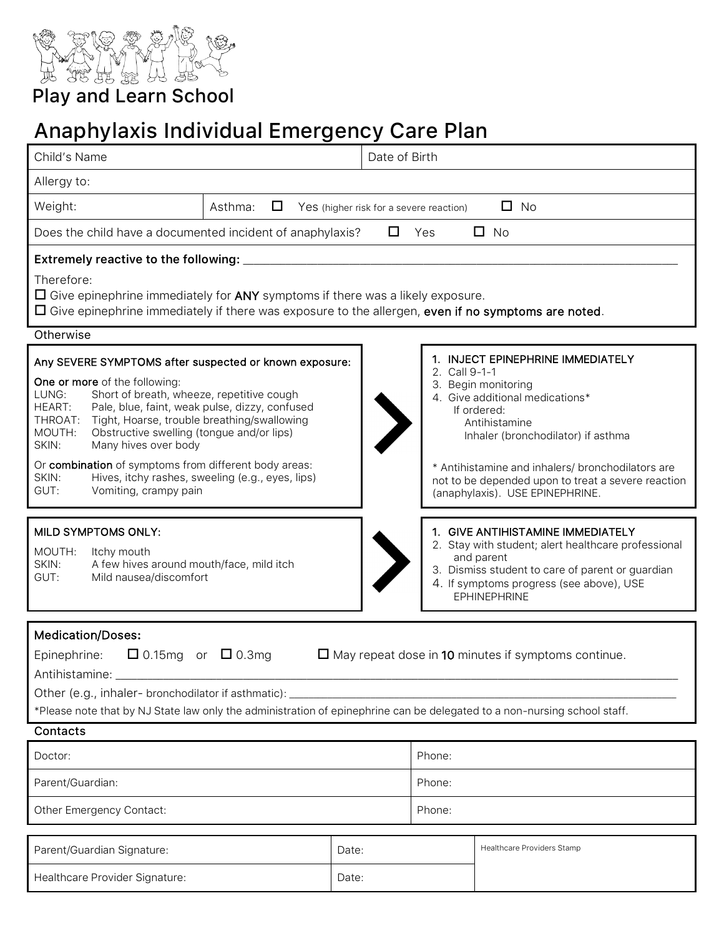

## Play and Learn School

## Anaphylaxis Individual Emergency Care Plan

| Child's Name                                                                                                                                                                                                                                                                                                                                                                                                                                                   |                                                  |                | Date of Birth |                                         |                                                                                                                                                                                                                                                                                                                 |
|----------------------------------------------------------------------------------------------------------------------------------------------------------------------------------------------------------------------------------------------------------------------------------------------------------------------------------------------------------------------------------------------------------------------------------------------------------------|--------------------------------------------------|----------------|---------------|-----------------------------------------|-----------------------------------------------------------------------------------------------------------------------------------------------------------------------------------------------------------------------------------------------------------------------------------------------------------------|
| Allergy to:                                                                                                                                                                                                                                                                                                                                                                                                                                                    |                                                  |                |               |                                         |                                                                                                                                                                                                                                                                                                                 |
| Weight:                                                                                                                                                                                                                                                                                                                                                                                                                                                        | Asthma:<br>□                                     |                |               | Yes (higher risk for a severe reaction) | $\Box$ No                                                                                                                                                                                                                                                                                                       |
| Does the child have a documented incident of anaphylaxis?<br>$\Box$ No<br>$\Box$<br>Yes                                                                                                                                                                                                                                                                                                                                                                        |                                                  |                |               |                                         |                                                                                                                                                                                                                                                                                                                 |
| Extremely reactive to the following:                                                                                                                                                                                                                                                                                                                                                                                                                           |                                                  |                |               |                                         |                                                                                                                                                                                                                                                                                                                 |
| Therefore:<br>$\Box$ Give epinephrine immediately for ANY symptoms if there was a likely exposure.<br>$\Box$ Give epinephrine immediately if there was exposure to the allergen, even if no symptoms are noted.                                                                                                                                                                                                                                                |                                                  |                |               |                                         |                                                                                                                                                                                                                                                                                                                 |
| Otherwise                                                                                                                                                                                                                                                                                                                                                                                                                                                      |                                                  |                |               |                                         |                                                                                                                                                                                                                                                                                                                 |
| Any SEVERE SYMPTOMS after suspected or known exposure:<br>One or more of the following:<br>Short of breath, wheeze, repetitive cough<br>LUNG:<br>Pale, blue, faint, weak pulse, dizzy, confused<br>HEART:<br>Tight, Hoarse, trouble breathing/swallowing<br>THROAT:<br>MOUTH:<br>Obstructive swelling (tongue and/or lips)<br>SKIN:<br>Many hives over body<br>Or combination of symptoms from different body areas:<br>SKIN:<br>GUT:<br>Vomiting, crampy pain | Hives, itchy rashes, sweeling (e.g., eyes, lips) |                |               | 2. Call 9-1-1                           | 1. INJECT EPINEPHRINE IMMEDIATELY<br>3. Begin monitoring<br>4. Give additional medications*<br>If ordered:<br>Antihistamine<br>Inhaler (bronchodilator) if asthma<br>* Antihistamine and inhalers/ bronchodilators are<br>not to be depended upon to treat a severe reaction<br>(anaphylaxis). USE EPINEPHRINE. |
| MILD SYMPTOMS ONLY:<br>MOUTH:<br>Itchy mouth<br>SKIN:<br>A few hives around mouth/face, mild itch<br>GUT:<br>Mild nausea/discomfort                                                                                                                                                                                                                                                                                                                            |                                                  |                |               |                                         | 1. GIVE ANTIHISTAMINE IMMEDIATELY<br>2. Stay with student; alert healthcare professional<br>and parent<br>3. Dismiss student to care of parent or guardian<br>4. If symptoms progress (see above), USE<br><b>EPHINEPHRINE</b>                                                                                   |
| <b>Medication/Doses:</b><br>$\Box$ 0.15mg or $\Box$ 0.3mg<br>$\Box$ May repeat dose in 10 minutes if symptoms continue.<br>Epinephrine:<br>Antihistamine: _<br>Other (e.g., inhaler- bronchodilator if asthmatic):<br>*Please note that by NJ State law only the administration of epinephrine can be delegated to a non-nursing school staff.                                                                                                                 |                                                  |                |               |                                         |                                                                                                                                                                                                                                                                                                                 |
| Contacts                                                                                                                                                                                                                                                                                                                                                                                                                                                       |                                                  |                |               |                                         |                                                                                                                                                                                                                                                                                                                 |
| Doctor:                                                                                                                                                                                                                                                                                                                                                                                                                                                        |                                                  |                | Phone:        |                                         |                                                                                                                                                                                                                                                                                                                 |
| Parent/Guardian:                                                                                                                                                                                                                                                                                                                                                                                                                                               |                                                  |                | Phone:        |                                         |                                                                                                                                                                                                                                                                                                                 |
| Other Emergency Contact:                                                                                                                                                                                                                                                                                                                                                                                                                                       |                                                  |                | Phone:        |                                         |                                                                                                                                                                                                                                                                                                                 |
| Parent/Guardian Signature:<br>Healthcare Provider Signature:                                                                                                                                                                                                                                                                                                                                                                                                   |                                                  | Date:<br>Date: |               |                                         | Healthcare Providers Stamp                                                                                                                                                                                                                                                                                      |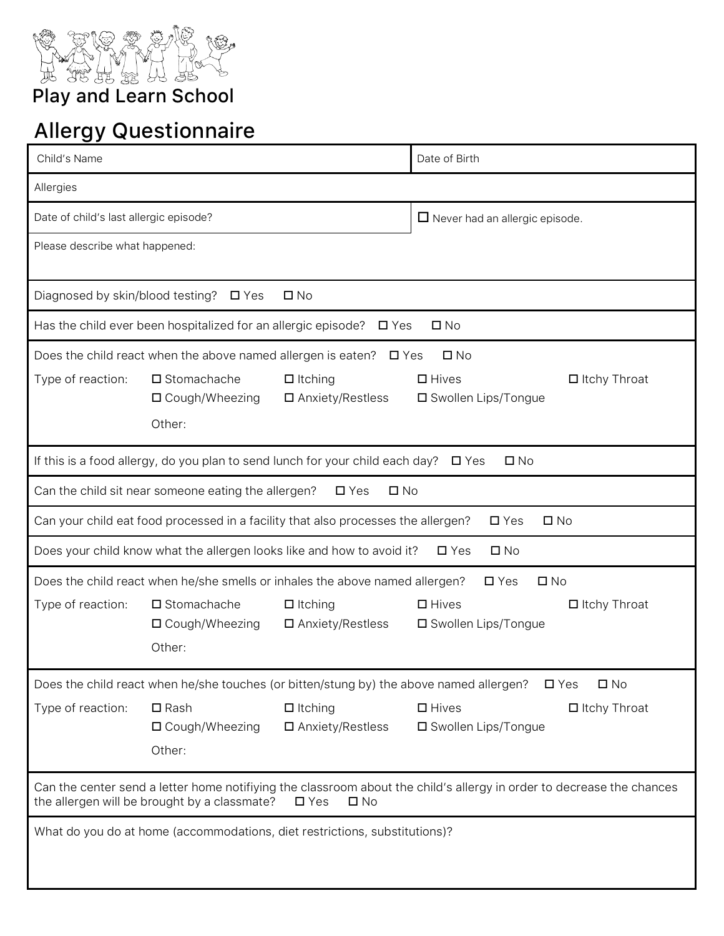

Play and Learn School

# Allergy Questionnaire

| Child's Name                                                                                                                                                                                           |                                                                                                                          | Date of Birth              |                                       |  |  |
|--------------------------------------------------------------------------------------------------------------------------------------------------------------------------------------------------------|--------------------------------------------------------------------------------------------------------------------------|----------------------------|---------------------------------------|--|--|
| Allergies                                                                                                                                                                                              |                                                                                                                          |                            |                                       |  |  |
| Date of child's last allergic episode?                                                                                                                                                                 |                                                                                                                          |                            | $\Box$ Never had an allergic episode. |  |  |
| Please describe what happened:                                                                                                                                                                         |                                                                                                                          |                            |                                       |  |  |
|                                                                                                                                                                                                        |                                                                                                                          |                            |                                       |  |  |
|                                                                                                                                                                                                        | Diagnosed by skin/blood testing? □ Yes<br>$\square$ No                                                                   |                            |                                       |  |  |
|                                                                                                                                                                                                        | Has the child ever been hospitalized for an allergic episode? $\Box$ Yes                                                 |                            | $\square$ No                          |  |  |
|                                                                                                                                                                                                        | Does the child react when the above named allergen is eaten?                                                             | $\Box$ Yes                 | $\square$ No                          |  |  |
| Type of reaction:                                                                                                                                                                                      | $\square$ Stomachache<br>$\Box$ Itching                                                                                  |                            | $\Box$ Hives<br>$\Box$ Itchy Throat   |  |  |
|                                                                                                                                                                                                        | □ Cough/Wheezing<br>Other:                                                                                               | $\Box$ Anxiety/Restless    | □ Swollen Lips/Tongue                 |  |  |
|                                                                                                                                                                                                        |                                                                                                                          |                            |                                       |  |  |
| If this is a food allergy, do you plan to send lunch for your child each day?<br>$\square$ No<br>$\square$ Yes                                                                                         |                                                                                                                          |                            |                                       |  |  |
| Can the child sit near someone eating the allergen?<br>$\square$ Yes<br>$\square$ No                                                                                                                   |                                                                                                                          |                            |                                       |  |  |
| Can your child eat food processed in a facility that also processes the allergen?<br>$\square$ No<br>$\square$ Yes                                                                                     |                                                                                                                          |                            |                                       |  |  |
|                                                                                                                                                                                                        | Does your child know what the allergen looks like and how to avoid it?<br>$\square$ No<br>$\square$ Yes                  |                            |                                       |  |  |
|                                                                                                                                                                                                        | Does the child react when he/she smells or inhales the above named allergen?                                             |                            | $\square$ No<br>$\square$ Yes         |  |  |
| Type of reaction:                                                                                                                                                                                      | $\square$ Stomachache<br>$\Box$ Itching                                                                                  |                            | $\Box$ Hives<br>$\Box$ Itchy Throat   |  |  |
|                                                                                                                                                                                                        | □ Cough/Wheezing<br>Other:                                                                                               | $\square$ Anxiety/Restless | □ Swollen Lips/Tongue                 |  |  |
|                                                                                                                                                                                                        |                                                                                                                          |                            |                                       |  |  |
|                                                                                                                                                                                                        | Does the child react when he/she touches (or bitten/stung by) the above named allergen?<br>$\square$ No<br>$\square$ Yes |                            |                                       |  |  |
| Type of reaction:                                                                                                                                                                                      | $\square$ Rash<br>$\Box$ Itching                                                                                         |                            | $\Box$ Hives<br>$\Box$ Itchy Throat   |  |  |
|                                                                                                                                                                                                        | $\Box$ Cough/Wheezing<br>Other:                                                                                          | $\square$ Anxiety/Restless | □ Swollen Lips/Tongue                 |  |  |
|                                                                                                                                                                                                        |                                                                                                                          |                            |                                       |  |  |
| Can the center send a letter home notifiying the classroom about the child's allergy in order to decrease the chances<br>the allergen will be brought by a classmate?<br>$\square$ Yes<br>$\square$ No |                                                                                                                          |                            |                                       |  |  |
| What do you do at home (accommodations, diet restrictions, substitutions)?                                                                                                                             |                                                                                                                          |                            |                                       |  |  |
|                                                                                                                                                                                                        |                                                                                                                          |                            |                                       |  |  |
|                                                                                                                                                                                                        |                                                                                                                          |                            |                                       |  |  |